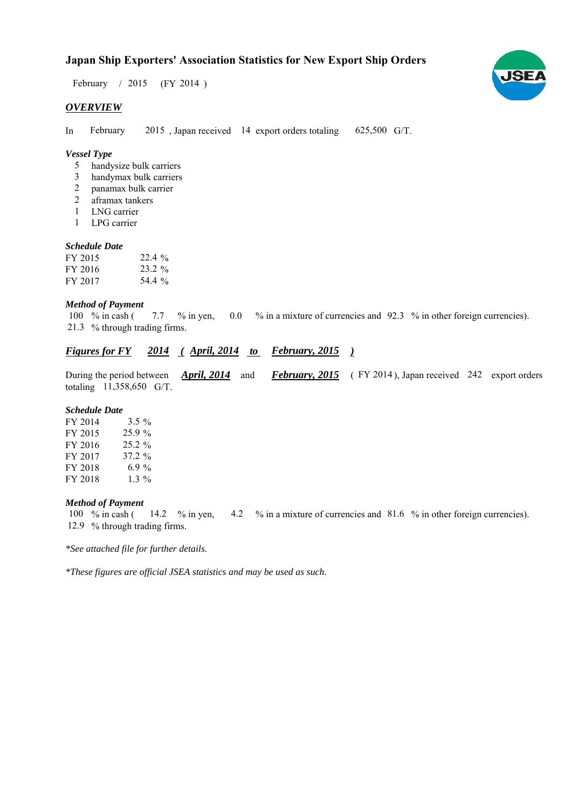## **Japan Ship Exporters' Association Statistics for New Export Ship Orders**

February / 2015 (FY 2014)

#### *OVERVIEW*

In February 2015, Japan received 14 export orders totaling 625,500 G/T. February

#### *Vessel Type*

- handysize bulk carriers 5
- handymax bulk carriers 3
- panamax bulk carrier 2
- aframax tankers 2
- LNG carrier 1
- LPG carrier 1

### *Schedule Date*

| FY 2015 | $22.4\%$ |
|---------|----------|
| FY 2016 | 23.2 %   |
| FY 2017 | 54.4 %   |

#### *Method of Payment*

% in cash ( $\frac{7.7}{8}$  m yen,  $\frac{0.0}{8}$  in a mixture of currencies and 92.3 % in other foreign currencies). % through trading firms. 21.3 7.7 % in yen, 100  $%$  in cash (

#### *Figures for FY* 2014 (*April, 2014 to February, 2015*)

During the period between *April, 2014* and *February, 2015* (FY 2014), Japan received 242 export orders totaling  $11,358,650$  G/T. *April, 2014* and

#### *Schedule Date*

| FY 2014 | $3.5\%$   |
|---------|-----------|
| FY 2015 | $25.9\%$  |
| FY 2016 | $25.2 \%$ |
| FY 2017 | 37.2 %    |
| FY 2018 | 6.9 %     |
| FY 2018 | $1.3\%$   |

#### *Method of Payment*

% in cash ( $\frac{14.2}{8}$  % in yen,  $\frac{4.2}{8}$  % in a mixture of currencies and 81.6 % in other foreign currencies). 12.9 % through trading firms. 100  $%$  in cash (

*\*See attached file for further details.*

*\*These figures are official JSEA statistics and may be used as such.*

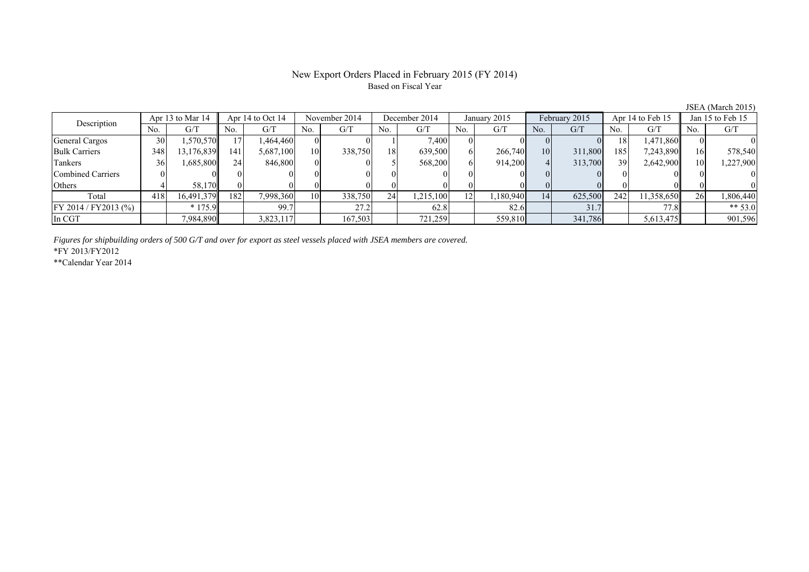# Based on Fiscal Year

No. G/T No. G/T No. G/T No. G/T No. G/T No. G/T No. G/T No. G/T General Cargos (1 30 1,570,570 17 1,464,460 0 0 0 1 7,400 0 0 0 0 0 18 1,471,860 0 0 Bulk Carriers 348 13,176,839 141 5,687,100 10 338,750 18 639,500 6 266,740 10 311,800 185 7,243,890 16 578,540 Tankers | 36| 1,685,800|| 24| 846,800| 0| 0| 5| 568,200| 6| 914,200| 4| 313,700| 39| 2,642,900|| 10| 1,227,900 Combined Carriers 0 0 0 0 0 0 0 0 0 0 0 0 0 0 0 0 Others 4 58,170 0 0 0 0 0 0 0 0 0 0 0 0 0 0 Total 418 16,491,379 182 7,998,360 10 338,750 24 1,215,100 12 1,180,940 14 625,500 242 11,358,650 26 1,806,440 FY 2014 / FY2013 (%) \* 175.9 99.7 27.2 62.8 82.6 31.7 77.8 \*\* 53.0 In CGT | | 7,984,890|| | 3,823,117| | 167,503| | 721,259| | 559,810| | 341,786| | 5,613,475|| | 901,596 Apr 13 to Mar 14 Apr 14 to Oct 14 November 2014 December 2014 Jan 15 to Feb 15 Description January 2015 February 2015 Apr 14 to Feb 15

*Figures for shipbuilding orders of 500 G/T and over for export as steel vessels placed with JSEA members are covered.*

\*FY 2013/FY2012

\*\*Calendar Year 2014

JSEA (March 2015)

# New Export Orders Placed in February 2015 (FY 2014)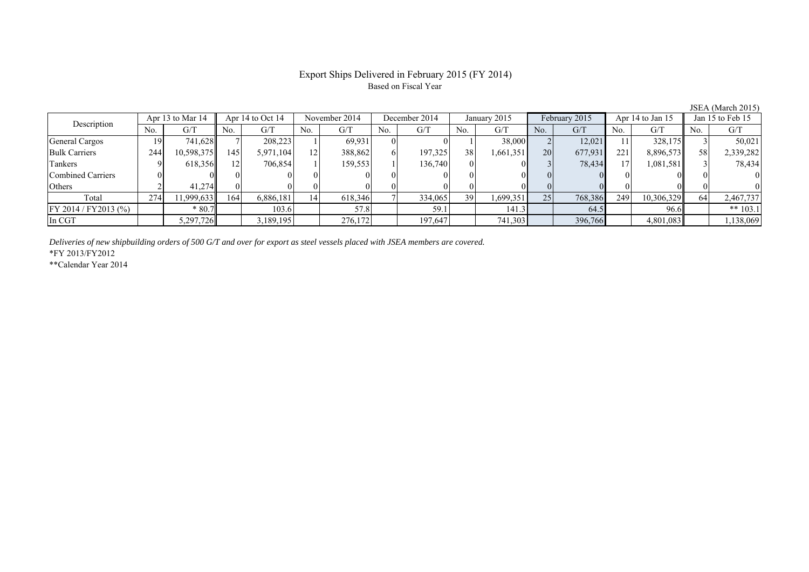### Export Ships Delivered in February 2015 (FY 2014) Based on Fiscal Year

| 0.01111111010101101010 |     |                  |     |                      |     |               |     |               |     |              |           |               |     |                  |     |                  |
|------------------------|-----|------------------|-----|----------------------|-----|---------------|-----|---------------|-----|--------------|-----------|---------------|-----|------------------|-----|------------------|
| Description            |     | Apr 13 to Mar 14 |     | Apr $14$ to Oct $14$ |     | November 2014 |     | December 2014 |     | January 2015 |           | February 2015 |     | Apr 14 to Jan 15 |     | Jan 15 to Feb 15 |
|                        | No. | G/T              | No. | G/T                  | No. | G/T           | No. | G/T           | No. | G/T          | No.       | G/T           | No. | G/T              | No. | G/T              |
| General Cargos         | 19  | 741.628          |     | 208.223              |     | 69.931        |     |               |     | 38,000       |           | 12.021        | 11  | 328,175          |     | 50,021           |
| <b>Bulk Carriers</b>   | 244 | 10,598,375       | 145 | 5,971,104            | 12. | 388,862       |     | 197.325       | 38  | 1,661,351    | <b>20</b> | 677.931       | 221 | 8,896,573        | 58  | 2,339,282        |
| Tankers                |     | 618,356          |     | 706,854              |     | 159,553       |     | 136,740       |     |              |           | 78,434        | 17  | 1,081,581        |     | 78,434           |
| Combined Carriers      |     |                  |     |                      |     |               |     |               |     |              |           |               |     |                  |     |                  |
| Others                 |     | 41.274           |     |                      |     |               |     |               |     |              |           |               |     |                  |     |                  |
| Total                  | 274 | 1,999,633        | 164 | 6,886,181            | 14  | 618,346       |     | 334,065       | 39  | 1,699,351    | 25        | 768,386       | 249 | 10,306,329       |     | 2,467,737        |
| FY 2014 / FY 2013 (%)  |     | $*80.7$          |     | 103.6                |     | 57.8          |     | 59.1          |     | 141.3        |           | 64.5          |     | 96.6             |     | ** $103.1$       |
| In CGT                 |     | 5,297,726        |     | ,189,195             |     | 276,172       |     | 197,647       |     | 741,303      |           | 396,766       |     | 4,801,083        |     | 1,138,069        |

*Deliveries of new shipbuilding orders of 500 G/T and over for export as steel vessels placed with JSEA members are covered.*

\*FY 2013/FY2012

\*\*Calendar Year 2014

JSEA (March 2015)